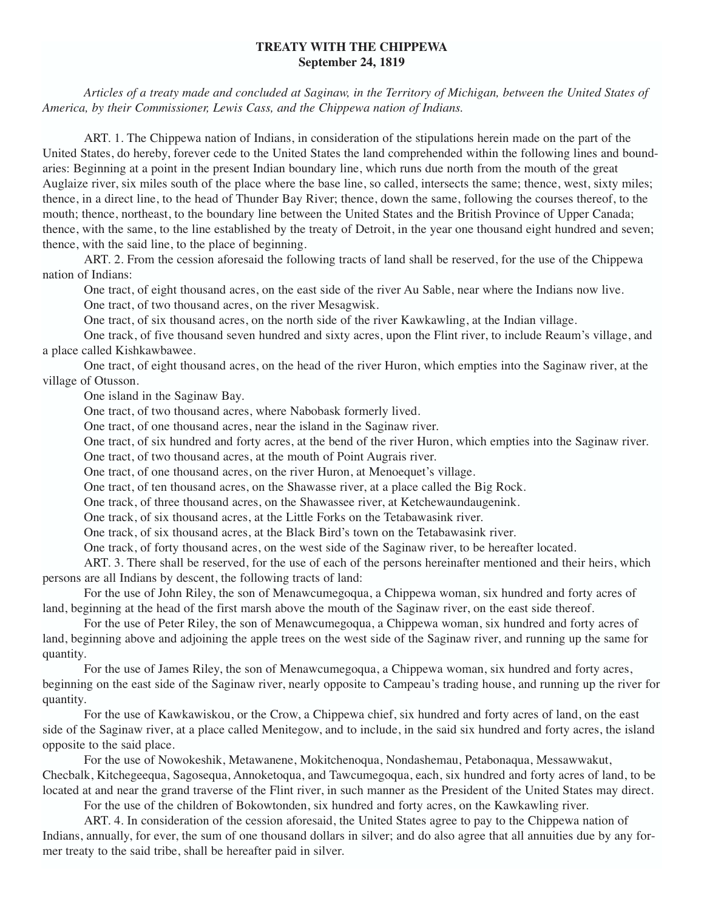## **TREATY WITH THE CHIPPEWA September 24, 1819**

*Articles of a treaty made and concluded at Saginaw, in the Territory of Michigan, between the United States of America, by their Commissioner, Lewis Cass, and the Chippewa nation of Indians.*

ART. 1. The Chippewa nation of Indians, in consideration of the stipulations herein made on the part of the United States, do hereby, forever cede to the United States the land comprehended within the following lines and boundaries: Beginning at a point in the present Indian boundary line, which runs due north from the mouth of the great Auglaize river, six miles south of the place where the base line, so called, intersects the same; thence, west, sixty miles; thence, in a direct line, to the head of Thunder Bay River; thence, down the same, following the courses thereof, to the mouth; thence, northeast, to the boundary line between the United States and the British Province of Upper Canada; thence, with the same, to the line established by the treaty of Detroit, in the year one thousand eight hundred and seven; thence, with the said line, to the place of beginning.

ART. 2. From the cession aforesaid the following tracts of land shall be reserved, for the use of the Chippewa nation of Indians:

One tract, of eight thousand acres, on the east side of the river Au Sable, near where the Indians now live.

One tract, of two thousand acres, on the river Mesagwisk.

One tract, of six thousand acres, on the north side of the river Kawkawling, at the Indian village.

One track, of five thousand seven hundred and sixty acres, upon the Flint river, to include Reaum's village, and a place called Kishkawbawee.

One tract, of eight thousand acres, on the head of the river Huron, which empties into the Saginaw river, at the village of Otusson.

One island in the Saginaw Bay.

One tract, of two thousand acres, where Nabobask formerly lived.

One tract, of one thousand acres, near the island in the Saginaw river.

One tract, of six hundred and forty acres, at the bend of the river Huron, which empties into the Saginaw river.

One tract, of two thousand acres, at the mouth of Point Augrais river.

One tract, of one thousand acres, on the river Huron, at Menoequet's village.

One tract, of ten thousand acres, on the Shawasse river, at a place called the Big Rock.

One track, of three thousand acres, on the Shawassee river, at Ketchewaundaugenink.

One track, of six thousand acres, at the Little Forks on the Tetabawasink river.

One track, of six thousand acres, at the Black Bird's town on the Tetabawasink river.

One track, of forty thousand acres, on the west side of the Saginaw river, to be hereafter located.

ART. 3. There shall be reserved, for the use of each of the persons hereinafter mentioned and their heirs, which persons are all Indians by descent, the following tracts of land:

For the use of John Riley, the son of Menawcumegoqua, a Chippewa woman, six hundred and forty acres of land, beginning at the head of the first marsh above the mouth of the Saginaw river, on the east side thereof.

For the use of Peter Riley, the son of Menawcumegoqua, a Chippewa woman, six hundred and forty acres of land, beginning above and adjoining the apple trees on the west side of the Saginaw river, and running up the same for quantity.

For the use of James Riley, the son of Menawcumegoqua, a Chippewa woman, six hundred and forty acres, beginning on the east side of the Saginaw river, nearly opposite to Campeau's trading house, and running up the river for quantity.

For the use of Kawkawiskou, or the Crow, a Chippewa chief, six hundred and forty acres of land, on the east side of the Saginaw river, at a place called Menitegow, and to include, in the said six hundred and forty acres, the island opposite to the said place.

For the use of Nowokeshik, Metawanene, Mokitchenoqua, Nondashemau, Petabonaqua, Messawwakut, Checbalk, Kitchegeequa, Sagosequa, Annoketoqua, and Tawcumegoqua, each, six hundred and forty acres of land, to be located at and near the grand traverse of the Flint river, in such manner as the President of the United States may direct.

For the use of the children of Bokowtonden, six hundred and forty acres, on the Kawkawling river.

ART. 4. In consideration of the cession aforesaid, the United States agree to pay to the Chippewa nation of Indians, annually, for ever, the sum of one thousand dollars in silver; and do also agree that all annuities due by any former treaty to the said tribe, shall be hereafter paid in silver.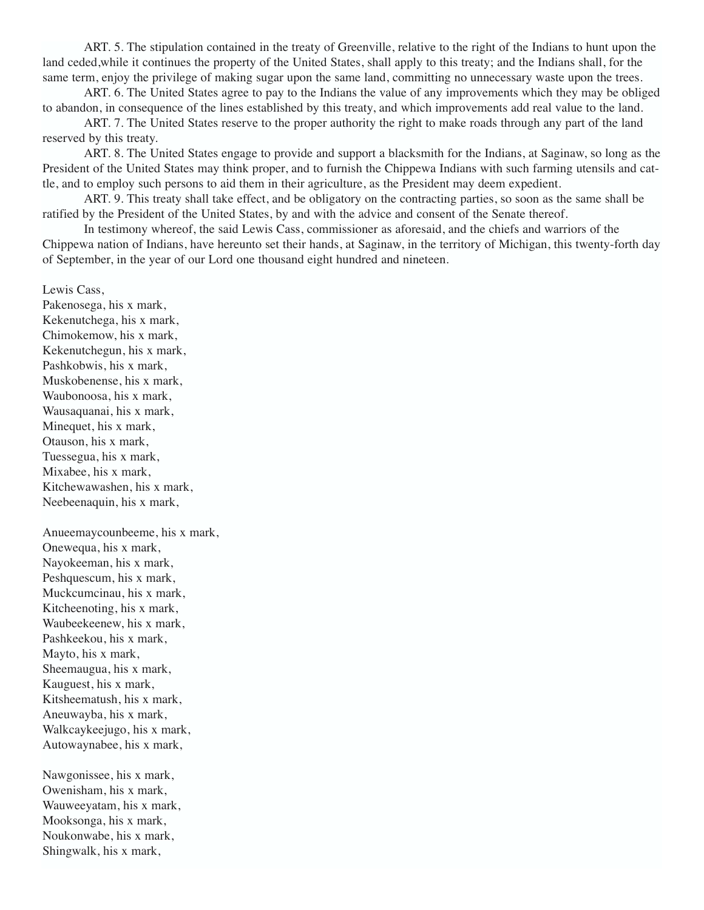ART. 5. The stipulation contained in the treaty of Greenville, relative to the right of the Indians to hunt upon the land ceded,while it continues the property of the United States, shall apply to this treaty; and the Indians shall, for the same term, enjoy the privilege of making sugar upon the same land, committing no unnecessary waste upon the trees.

ART. 6. The United States agree to pay to the Indians the value of any improvements which they may be obliged to abandon, in consequence of the lines established by this treaty, and which improvements add real value to the land.

ART. 7. The United States reserve to the proper authority the right to make roads through any part of the land reserved by this treaty.

ART. 8. The United States engage to provide and support a blacksmith for the Indians, at Saginaw, so long as the President of the United States may think proper, and to furnish the Chippewa Indians with such farming utensils and cattle, and to employ such persons to aid them in their agriculture, as the President may deem expedient.

ART. 9. This treaty shall take effect, and be obligatory on the contracting parties, so soon as the same shall be ratified by the President of the United States, by and with the advice and consent of the Senate thereof.

In testimony whereof, the said Lewis Cass, commissioner as aforesaid, and the chiefs and warriors of the Chippewa nation of Indians, have hereunto set their hands, at Saginaw, in the territory of Michigan, this twenty-forth day of September, in the year of our Lord one thousand eight hundred and nineteen.

Lewis Cass,

Pakenosega, his x mark, Kekenutchega, his x mark, Chimokemow, his x mark, Kekenutchegun, his x mark, Pashkobwis, his x mark, Muskobenense, his x mark, Waubonoosa, his x mark, Wausaquanai, his x mark, Minequet, his x mark, Otauson, his x mark, Tuessegua, his x mark, Mixabee, his x mark, Kitchewawashen, his x mark, Neebeenaquin, his x mark,

Anueemaycounbeeme, his x mark, Onewequa, his x mark, Nayokeeman, his x mark, Peshquescum, his x mark, Muckcumcinau, his x mark, Kitcheenoting, his x mark, Waubeekeenew, his x mark, Pashkeekou, his x mark, Mayto, his x mark, Sheemaugua, his x mark, Kauguest, his x mark, Kitsheematush, his x mark, Aneuwayba, his x mark, Walkcaykeejugo, his x mark, Autowaynabee, his x mark,

Nawgonissee, his x mark, Owenisham, his x mark, Wauweeyatam, his x mark, Mooksonga, his x mark, Noukonwabe, his x mark, Shingwalk, his x mark,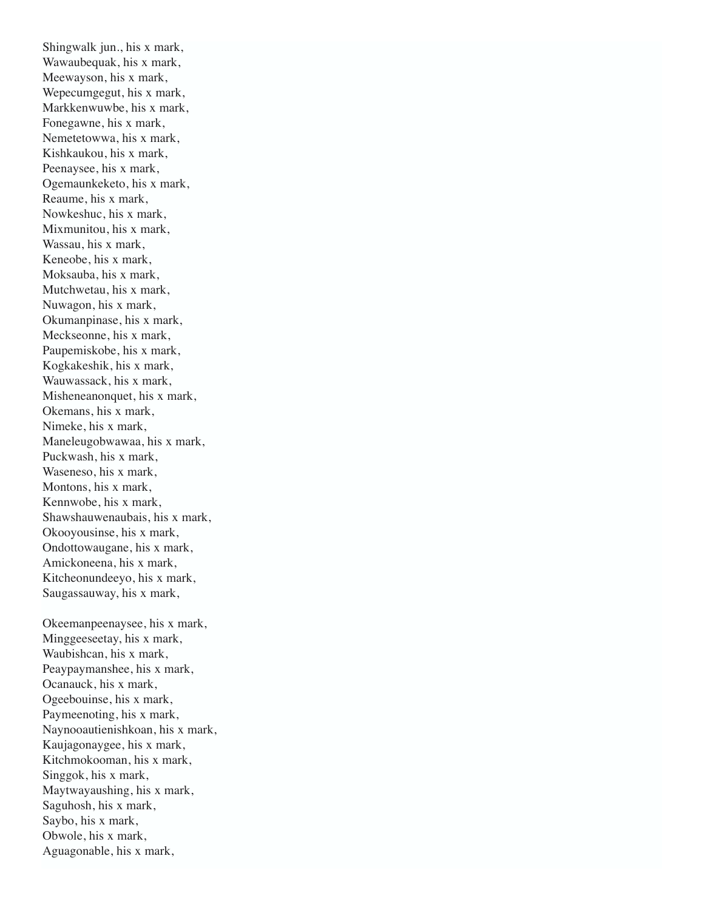Shingwalk jun., his x mark, Wawaubequak, his x mark, Meewayson, his x mark, Wepecumgegut, his x mark, Markkenwuwbe, his x mark, Fonegawne, his x mark, Nemetetowwa, his x mark, Kishkaukou, his x mark, Peenaysee, his x mark, Ogemaunkeketo, his x mark, Reaume, his x mark, Nowkeshuc, his x mark, Mixmunitou, his x mark, Wassau, his x mark, Keneobe, his x mark, Moksauba, his x mark, Mutchwetau, his x mark, Nuwagon, his x mark, Okumanpinase, his x mark, Meckseonne, his x mark, Paupemiskobe, his x mark, Kogkakeshik, his x mark, Wauwassack, his x mark, Misheneanonquet, his x mark, Okemans, his x mark, Nimeke, his x mark, Maneleugobwawaa, his x mark, Puckwash, his x mark, Waseneso, his x mark, Montons, his x mark, Kennwobe, his x mark, Shawshauwenaubais, his x mark, Okooyousinse, his x mark, Ondottowaugane, his x mark, Amickoneena, his x mark, Kitcheonundeeyo, his x mark, Saugassauway, his x mark,

Okeemanpeenaysee, his x mark, Minggeeseetay, his x mark, Waubishcan, his x mark, Peaypaymanshee, his x mark, Ocanauck, his x mark, Ogeebouinse, his x mark, Paymeenoting, his x mark, Naynooautienishkoan, his x mark, Kaujagonaygee, his x mark, Kitchmokooman, his x mark, Singgok, his x mark, Maytwayaushing, his x mark, Saguhosh, his x mark, Saybo, his x mark, Obwole, his x mark, Aguagonable, his x mark,